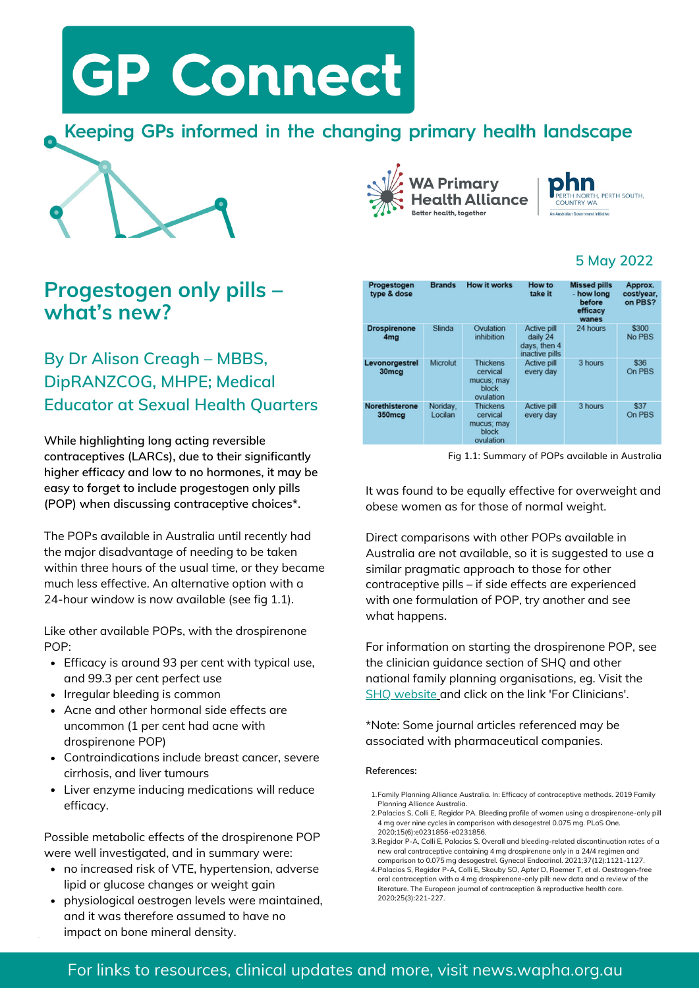**GP Connect** 

Keeping GPs informed in the changing primary health landscape



# **Progestogen only pills – what's new?**

**By Dr Alison Creagh – MBBS, DipRANZCOG, MHPE; Medical Educator at Sexual Health Quarters**

**While highlighting long acting reversible contraceptives (LARCs), due to their significantly higher efficacy and low to no hormones, it may be easy to forget to include progestogen only pills (POP) when discussing contraceptive choices\*.**

The POPs available in Australia until recently had the major disadvantage of needing to be taken within three hours of the usual time, or they became much less effective. An alternative option with a 24-hour window is now available (see fig 1.1).

Like other available POPs, with the drospirenone POP:

- Efficacy is around 93 per cent with typical use, and 99.3 per cent perfect use
- Irregular bleeding is common
- Acne and other hormonal side effects are uncommon (1 per cent had acne with drospirenone POP)
- Contraindications include breast cancer, severe cirrhosis, and liver tumours
- Liver enzyme inducing medications will reduce efficacy.

Possible metabolic effects of the drospirenone POP were well investigated, and in summary were:

- no increased risk of VTE, hypertension, adverse lipid or glucose changes or weight gain
- physiological oestrogen levels were maintained, and it was therefore assumed to have no impact on bone mineral density.





#### **5 May 2022**

| Progestogen<br>type & dose          | <b>Brands</b>       | How it works                                                    | How to<br>take it                                         | <b>Missed pills</b><br>- how long<br>before<br>efficacy<br>wanes | Approx.<br>cost/year.<br>on PBS? |
|-------------------------------------|---------------------|-----------------------------------------------------------------|-----------------------------------------------------------|------------------------------------------------------------------|----------------------------------|
| <b>Drospirenone</b><br>4mg          | Slinda              | Ovulation<br><i>inhibition</i>                                  | Active pill<br>daily 24<br>days, then 4<br>inactive pills | 24 hours                                                         | \$300<br>No PBS                  |
| Levonorgestrel<br>30 <sub>mcg</sub> | Microlut            | <b>Thickens</b><br>cervical<br>mucus; may<br>block<br>ovulation | Active pill<br>every day                                  | 3 hours                                                          | \$36<br>On PBS                   |
| Norethisterone<br>$350$ mcg         | Noriday.<br>Locilan | <b>Thickens</b><br>cervical<br>mucus; may<br>block<br>ovulation | Active pill<br>every day                                  | 3 hours                                                          | \$37<br>On PBS                   |



It was found to be equally effective for overweight and obese women as for those of normal weight.

Direct comparisons with other POPs available in Australia are not available, so it is suggested to use a similar pragmatic approach to those for other contraceptive pills – if side effects are experienced with one formulation of POP, try another and see what happens.

For information on starting the drospirenone POP, see the clinician guidance section of SHQ and other national family planning organisations, eg. Visit the SHQ [website](https://shq.org.au/resources/health-info/info-sheets) and click on the link 'For Clinicians'.

\*Note: Some journal articles referenced may be associated with pharmaceutical companies.

#### **References:**

- Family Planning Alliance Australia. In: Efficacy of contraceptive methods. 2019 Family 1. Planning Alliance Australia.
- Palacios S, Colli E, Regidor PA. Bleeding profile of women using a drospirenone-only pill 2. 4 mg over nine cycles in comparison with desogestrel 0.075 mg. PLoS One. 2020;15(6):e0231856-e0231856.
- 3. Regidor P-A, Colli E, Palacios S. Overall and bleeding-related discontinuation rates of a new oral contraceptive containing 4 mg drospirenone only in a 24/4 regimen and comparison to 0.075 mg desogestrel. Gynecol Endocrinol. 2021;37(12):1121-1127.
- 4. Palacios S, Regidor P-A, Colli E, Skouby SO, Apter D, Roemer T, et al. Oestrogen-free oral contraception with a 4 mg drospirenone-only pill: new data and a review of the literature. The European journal of contraception & reproductive health care. 2020;25(3):221-227.

#### For links to resources, clinical updates and more, visit [news.wapha.org.au](https://news.wapha.org.au/)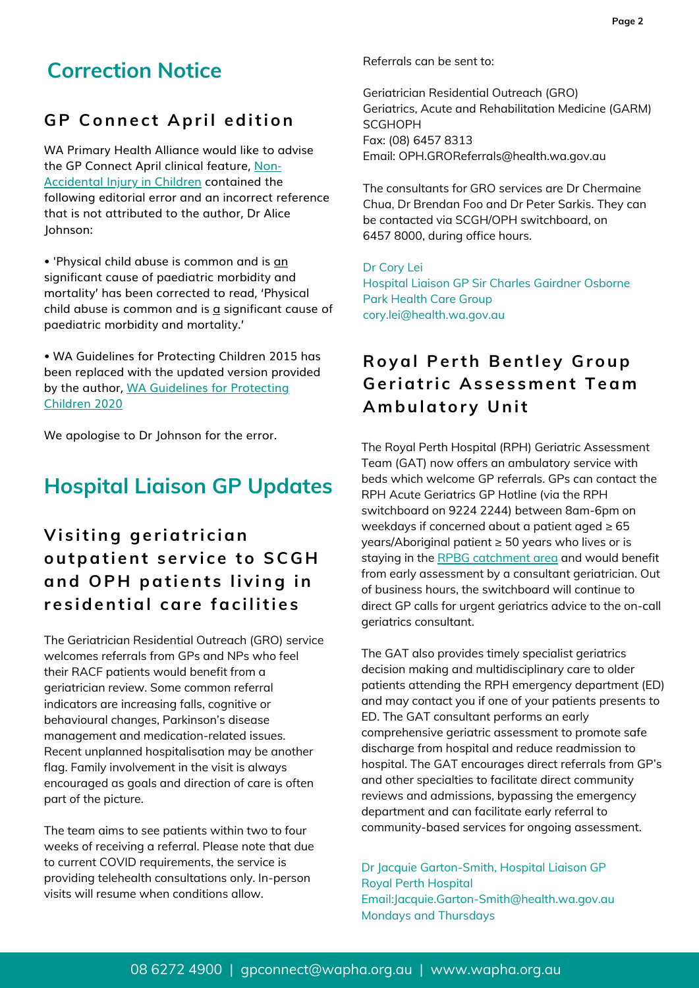# **Correction Notice**

### **G P Conne c t Apri l editi on**

WA Primary Health Alliance would like to advise the GP Connect April clinical feature, Non-[Accidental](https://news.wapha.org.au/non-accidental-injury-in-children/) Injury in Children contained the following editorial error and an incorrect reference that is not attributed to the author, Dr Alice Johnson:

• 'Physical child abuse is common and is an significant cause of paediatric morbidity and mortality' has been corrected to read, 'Physical child abuse is common and is  $q$  significant cause of paediatric morbidity and mortality.'

• WA Guidelines for Protecting Children 2015 has been replaced with the updated version provided by the author, WA [Guidelines](https://www.cahs.health.wa.gov.au/~/media/HSPs/CAHS/Documents/Health-Professionals/Child-Protection/Guidelines-for-the-Protection-of-Children-2020.pdf) for Protecting Children 2020

We apologise to Dr Johnson for the error.

# **Hospital Liaison GP Updates**

# **V i s iting ge riatri c ian o u tpati ent s e r v i c e t o SC GH and OPH pati ent s l i v ing in r e s idential car e fac i l iti e s**

The Geriatrician Residential Outreach (GRO) service welcomes referrals from GPs and NPs who feel their RACF patients would benefit from a geriatrician review. Some common referral indicators are increasing falls, cognitive or behavioural changes, Parkinson's disease management and medication-related issues. Recent unplanned hospitalisation may be another flag. Family involvement in the visit is always encouraged as goals and direction of care is often part of the picture.

The team aims to see patients within two to four weeks of receiving a referral. Please note that due to current COVID requirements, the service is providing telehealth consultations only. In-person visits will resume when conditions allow.

Referrals can be sent to:

Geriatrician Residential Outreach (GRO) Geriatrics, Acute and Rehabilitation Medicine (GARM) **SCGHOPH** Fax: (08) 6457 8313 Email: OPH.GROReferrals@health.wa.gov.au

The consultants for GRO services are Dr Chermaine Chua, Dr Brendan Foo and Dr Peter Sarkis. They can be contacted via SCGH/OPH switchboard, on 6457 8000, during office hours.

Dr Cory Lei Hospital Liaison GP Sir Charles Gairdner Osborne Park Health Care Group [cory.lei@health.wa.gov.au](mailto:cory.lei@health.wa.gov.au)

# **R o yal Pe rth Bentl e y G r o up G e riatri c As s e s s m ent Tea m A m bu lat o r y U nit**

The Royal Perth Hospital (RPH) Geriatric Assessment Team (GAT) now offers an ambulatory service with beds which welcome GP referrals. GPs can contact the RPH Acute Geriatrics GP Hotline (via the RPH switchboard on 9224 2244) between 8am-6pm on weekdays if concerned about a patient aged ≥ 65 years/Aboriginal patient ≥ 50 years who lives or is staying in the RPBG [catchment](https://linkprotect.cudasvc.com/url?a=https%3a%2f%2frph.health.wa.gov.au%2fFor-health-professionals%2fGPs%2fOutpatients&c=E,1,tA_KUJInrIb6mpRXuf_6ubYl0AcDjbPp1EDT7jox0A9-VbBJzbOu6k1bpQA0fFx8ovbwgovqUCjBdi8FEhT76t9QnjXD5jlcnUvgtOZisRAmag,,&typo=1) area and would benefit from early assessment by a consultant geriatrician. Out of business hours, the switchboard will continue to direct GP calls for urgent geriatrics advice to the on-call geriatrics consultant.

The GAT also provides timely specialist geriatrics decision making and multidisciplinary care to older patients attending the RPH emergency department (ED) and may contact you if one of your patients presents to ED. The GAT consultant performs an early comprehensive geriatric assessment to promote safe discharge from hospital and reduce readmission to hospital. The GAT encourages direct referrals from GP's and other specialties to facilitate direct community reviews and admissions, bypassing the emergency department and can facilitate early referral to community-based services for ongoing assessment.

Dr Jacquie Garton-Smith, Hospital Liaison GP Royal Perth Hospital Email:Jacquie.Garton-Smith@health.wa.gov.au Mondays and Thursdays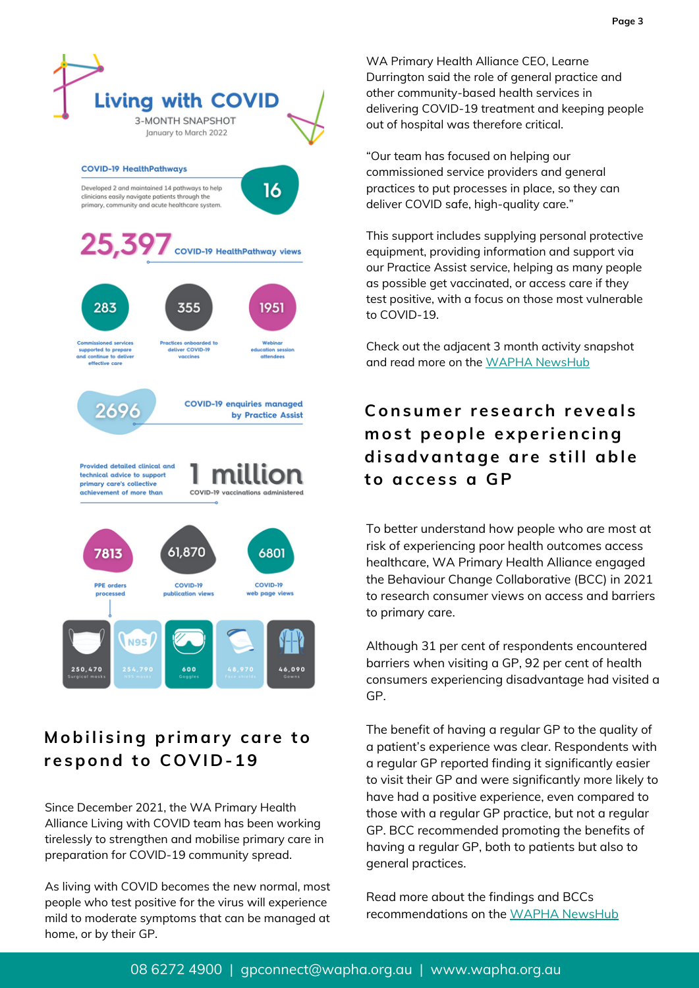

#### **M obi l i s ing pri m ar y car e t o r e spond t o COV ID-19**

Since December 2021, the WA Primary Health Alliance Living with COVID team has been working tirelessly to strengthen and mobilise primary care in preparation for COVID-19 community spread.

As living with COVID becomes the new normal, most people who test positive for the virus will experience mild to moderate symptoms that can be managed at home, or by their GP.

WA Primary Health Alliance CEO, Learne Durrington said the role of general practice and other community-based health services in delivering COVID-19 treatment and keeping people out of hospital was therefore critical.

"Our team has focused on helping our commissioned service providers and general practices to put processes in place, so they can deliver COVID safe, high-quality care."

This support includes supplying personal protective equipment, providing information and support via our Practice Assist service, helping as many people as possible get vaccinated, or access care if they test positive, with a focus on those most vulnerable to COVID-19.

Check out the adjacent 3 month activity snapshot and read more on the WAPHA [NewsHub](https://news.wapha.org.au/mobilising-primary-care-to-respond-to-covid-19/)

# **Cons u m e r r e s ear ch r e v eal s m o s t pe opl e e xpe ri enc ing di sadvantage ar e s ti l l abl e t o ac c e s s a G P**

To better understand how people who are most at risk of experiencing poor health outcomes access healthcare, WA Primary Health Alliance engaged the Behaviour Change Collaborative (BCC) in 2021 to research consumer views on access and barriers to primary care.

Although 31 per cent of respondents encountered barriers when visiting a GP, 92 per cent of health consumers experiencing disadvantage had visited a GP.

The benefit of having a regular GP to the quality of a patient's experience was clear. Respondents with a regular GP reported finding it significantly easier to visit their GP and were significantly more likely to have had a positive experience, even compared to those with a regular GP practice, but not a regular GP. BCC recommended promoting the benefits of having a regular GP, both to patients but also to general practices.

Read more about the findings and BCCs recommendations on the WAPHA [NewsHub](https://news.wapha.org.au/consumer-research-reveals-most-people-experiencing-disadvantage-are-still-able-to-access-a-gp/)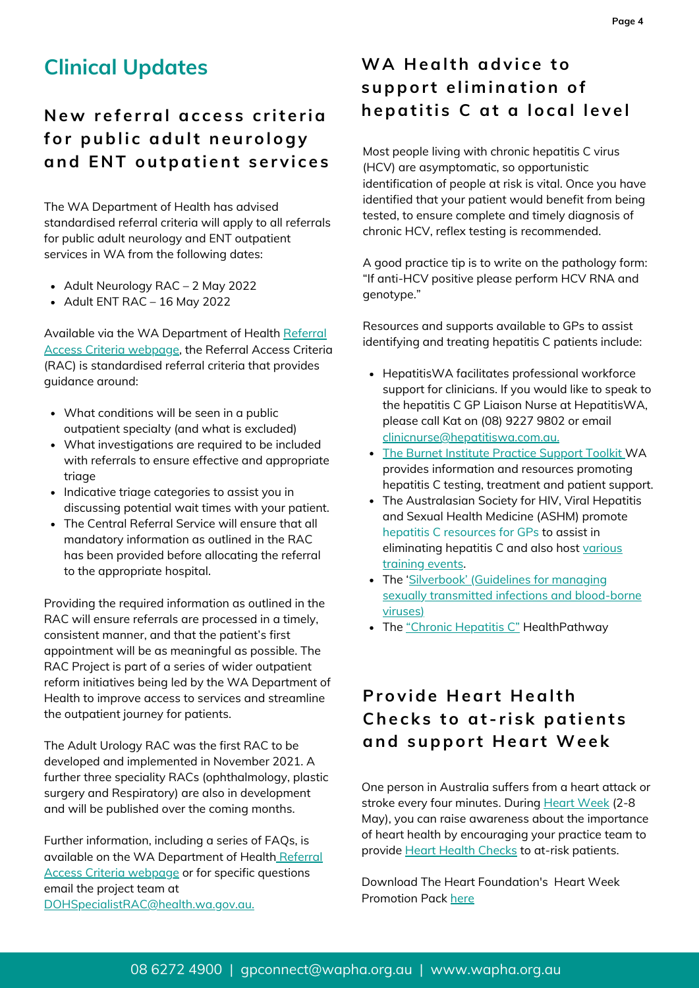# **Clinical Updates**

#### **Ne w r e f e rral ac c e s s c rit e ria f o r publ i c adu lt ne u r o l ogy and ENT o u tpati ent s e r v i c e s**

The WA Department of Health has advised standardised referral criteria will apply to all referrals for public adult neurology and ENT outpatient services in WA from the following dates:

- Adult Neurology RAC 2 May 2022
- $\bullet$  Adult ENT RAC 16 May 2022

Available via the WA [Department](https://ww2.health.wa.gov.au/Articles/N_R/Referral-Access-Criteria) of Health Referral Access Criteria webpage, the Referral Access Criteria (RAC) is standardised referral criteria that provides guidance around:

- What conditions will be seen in a public outpatient specialty (and what is excluded)
- What investigations are required to be included with referrals to ensure effective and appropriate triage
- Indicative triage categories to assist you in discussing potential wait times with your patient.
- The Central Referral Service will ensure that all mandatory information as outlined in the RAC has been provided before allocating the referral to the appropriate hospital.

Providing the required information as outlined in the RAC will ensure referrals are processed in a timely, consistent manner, and that the patient's first appointment will be as meaningful as possible. The RAC Project is part of a series of wider outpatient reform initiatives being led by the WA Department of Health to improve access to services and streamline the outpatient journey for patients.

The Adult Urology RAC was the first RAC to be developed and implemented in November 2021. A further three speciality RACs (ophthalmology, plastic surgery and Respiratory) are also in development and will be published over the coming months.

Further information, including a series of FAQs, is available on the WA [Department](https://ww2.health.wa.gov.au/Articles/N_R/Referral-Access-Criteria) of Health Referral **Access Criteria webpage or for specific questions** email the project team at [DOHSpecialistRAC@health.wa.gov.au.](mailto:DOHSpecialistRAC@health.wa.gov.au)

#### **WA Health adv i c e t o s uppo rt e l i m inati on o f hepatiti s C at a l o cal l e v e l**

Most people living with chronic hepatitis C virus (HCV) are asymptomatic, so opportunistic identification of people at risk is vital. Once you have identified that your patient would benefit from being tested, to ensure complete and timely diagnosis of chronic HCV, reflex testing is recommended.

A good practice tip is to write on the pathology form: "If anti-HCV positive please perform HCV RNA and genotype."

Resources and supports available to GPs to assist identifying and treating hepatitis C patients include:

- HepatitisWA facilitates professional workforce support for clinicians. If you would like to speak to the hepatitis C GP Liaison Nurse at HepatitisWA, please call Kat on (08) 9227 9802 or email [clinicnurse@hepatitiswa.com.au.](mailto:clinicnurse@hepatitiswa.com.au)
- The Burnet [Institute](https://urldefense.com/v3/__https:/ecpartnership.org.au/toolkit__;!!Lav448XFWxY!7sjN2OmMDRGH8UHsAAr1RT0zTxsJIeBdpbIFJJnNKR45YRTJTkWo3k8K4t85Nb6h5oFzdXmXc80gYuLCqwjJLMhFSKUf9IG26u3a$) Practice Support Toolkit [WA](https://urldefense.com/v3/__https:/ecpartnership.org.au/toolkit__;!!Lav448XFWxY!7sjN2OmMDRGH8UHsAAr1RT0zTxsJIeBdpbIFJJnNKR45YRTJTkWo3k8K4t85Nb6h5oFzdXmXc80gYuLCqwjJLMhFSKUf9IG26u3a$) provides information and resources promoting hepatitis C testing, treatment and patient support.
- The Australasian Society for HIV, Viral Hepatitis and Sexual Health Medicine (ASHM) promote hepatitis C [resources](https://urldefense.com/v3/__https:/www.ashm.org.au/resources/HCV-Resources-list/__;!!Lav448XFWxY!7sjN2OmMDRGH8UHsAAr1RT0zTxsJIeBdpbIFJJnNKR45YRTJTkWo3k8K4t85Nb6h5oFzdXmXc80gYuLCqwjJLMhFSKUf9DpyJjhM$) for GPs to assist in [eliminating](https://urldefense.com/v3/__https:/www.ashm.org.au/training/__;!!Lav448XFWxY!7sjN2OmMDRGH8UHsAAr1RT0zTxsJIeBdpbIFJJnNKR45YRTJTkWo3k8K4t85Nb6h5oFzdXmXc80gYuLCqwjJLMhFSKUf9Ogvw7i2$) hepatitis C and also host various training events[.](https://urldefense.com/v3/__https:/www.ashm.org.au/training/__;!!Lav448XFWxY!7sjN2OmMDRGH8UHsAAr1RT0zTxsJIeBdpbIFJJnNKR45YRTJTkWo3k8K4t85Nb6h5oFzdXmXc80gYuLCqwjJLMhFSKUf9Ogvw7i2$)
- The ['](https://linkprotect.cudasvc.com/url?a=https%3a%2f%2fww2.health.wa.gov.au%2fSilver-book%2fNotifiable-infections%2fHepatitis-C&c=E,1,Zgm9Fce-6pKQuPcEHmMjQXirlwctvc69HIFc3DeEp8khPB9UbC-OUk2D9YFoSqMQv3Po6eAEKQp4UO-L3x2s3bz5vQfXdF-n4oLKkkTHCPrQO-6GtqnFxwc,&typo=1)Silverbook' (Guidelines for managing sexually transmitted infections and [blood-borne](https://linkprotect.cudasvc.com/url?a=https%3a%2f%2fww2.health.wa.gov.au%2fSilver-book%2fNotifiable-infections%2fHepatitis-C&c=E,1,Zgm9Fce-6pKQuPcEHmMjQXirlwctvc69HIFc3DeEp8khPB9UbC-OUk2D9YFoSqMQv3Po6eAEKQp4UO-L3x2s3bz5vQfXdF-n4oLKkkTHCPrQO-6GtqnFxwc,&typo=1) viruses)
- The "Chronic [Hepatitis](https://urldefense.com/v3/__https:/waclassic.communityhealthpathways.org/28219.htm__;!!Lav448XFWxY!7sjN2OmMDRGH8UHsAAr1RT0zTxsJIeBdpbIFJJnNKR45YRTJTkWo3k8K4t85Nb6h5oFzdXmXc80gYuLCqwjJLMhFSKUf9Hoo2Ajo$) C" HealthPathway

# **Pr o v ide Heart Health Checks to at-risk patients and s uppo rt Heart We e k**

One person in Australia suffers from a heart attack or stroke every four minutes. During Heart [Week](https://www.heartfoundation.org.au/programs/heart-week) (2-8 May), you can raise awareness about the importance of heart health by encouraging your practice team to provide Heart Health [Checks](https://www.heartfoundation.org.au/bundles/heart-health-check-toolkit) to at-risk patients.

Download The Heart Foundation's Heart Week Promotion Pack [here](https://heartfoundation-staging-admin.azurewebsites.net/getmedia/0ed97f8b-67bd-4459-bff6-69825f3b2e90/220324-Heart-Week-Digi-Promotion-Pack-FA_2.pdf)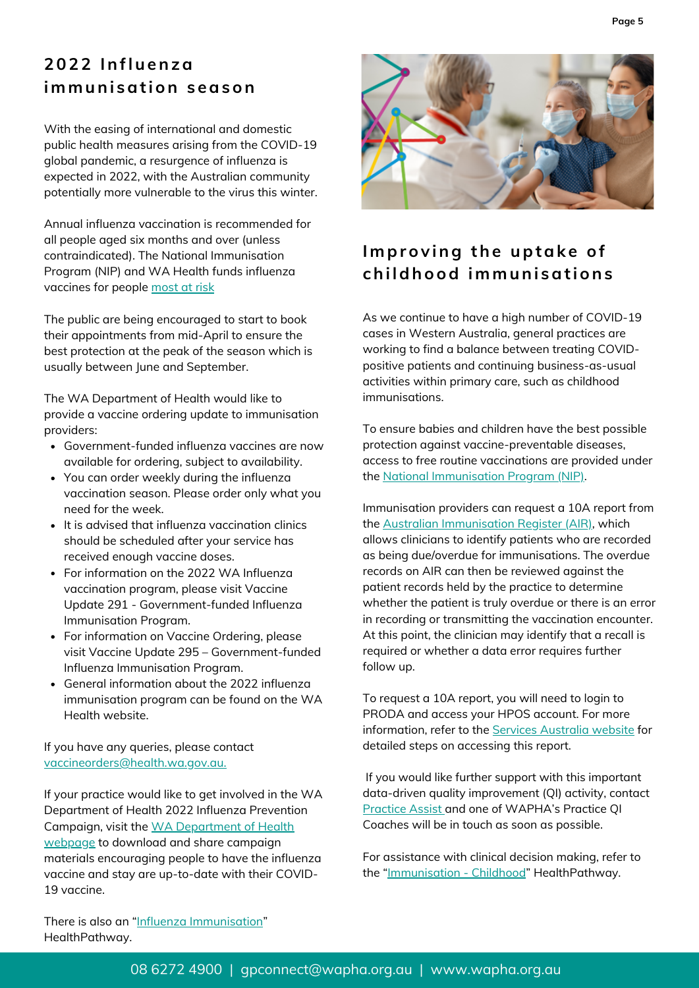#### **2022 Infl u enza i m m uni sati on s eas on**

With the easing of international and domestic public health measures arising from the COVID-19 global pandemic, a resurgence of influenza is expected in 2022, with the Australian community potentially more vulnerable to the virus this winter.

Annual influenza vaccination is recommended for all people aged six months and over (unless contraindicated). The National Immunisation Program (NIP) and WA Health funds influenza vaccines for people [most](https://ww2.health.wa.gov.au/Articles/F_I/Influenza-immunisation-program#:~:text=Children%206%20months%20to%20under,preferable%20to%20receiving%20no%20doses.) at risk

The public are being encouraged to start to book their appointments from mid-April to ensure the best protection at the peak of the season which is usually between June and September.

The WA Department of Health would like to provide a vaccine ordering update to immunisation providers:

- Government-funded influenza vaccines are now available for ordering, subject to availability.
- You can order weekly during the influenza vaccination season. Please order only what you need for the week.
- It is advised that influenza vaccination clinics should be scheduled after your service has received enough vaccine doses.
- For information on the 2022 WA Influenza vaccination program, please visit Vaccine Update 291 - [Government-funded](https://us20.campaign-archive.com/?u=32cc4a56e0e39b38a4d4cf223&id=2f53550abf) Influenza Immunisation Program.
- For information on Vaccine Ordering, please visit Vaccine Update 295 – [Government-funded](https://mailchi.mp/health.wa.gov.au/vaccine-update-295-2022-government-funded-influenza-immunisation-program-vaccine-ordering-information?e=602294afc0) Influenza Immunisation Program.
- General information about the 2022 influenza [immunisation](https://ww2.health.wa.gov.au/Articles/F_I/Influenza-immunisation-program) program can be found on the WA Health website.

If you have any queries, please contact [vaccineorders@health.wa.gov.au.](mailto:vaccineorders@health.wa.gov.au)

If your practice would like to get involved in the WA Department of Health 2022 Influenza Prevention Campaign, visit the WA [Department](https://ww2.health.wa.gov.au/Articles/A_E/Campaign-influenza-immunisation) of Health webpage to download and share campaign materials encouraging people to have the influenza vaccine and stay are up-to-date with their COVID-19 vaccine.



# **I m pr o v ing the uptak e o f chi ldho od i m m uni sati ons**

As we continue to have a high number of COVID-19 cases in Western Australia, general practices are working to find a balance between treating COVIDpositive patients and continuing business-as-usual activities within primary care, such as childhood immunisations.

To ensure babies and children have the best possible protection against vaccine-preventable diseases, access to free routine vaccinations are provided under the National [Immunisation](https://www.health.gov.au/health-topics/immunisation/when-to-get-vaccinated/national-immunisation-program-schedule) Program (NIP).

Immunisation providers can request a 10A report from the **Australian [Immunisation](https://www.servicesaustralia.gov.au/australian-immunisation-register-for-health-professionals) Register (AIR)**, which allows clinicians to identify patients who are recorded as being due/overdue for immunisations. The overdue records on AIR can then be reviewed against the patient records held by the practice to determine whether the patient is truly overdue or there is an error in recording or transmitting the vaccination encounter. At this point, the clinician may identify that a recall is required or whether a data error requires further follow up.

To request a 10A report, you will need to login to PRODA and access your HPOS account. For more information, refer to the **Services [Australia](https://www.servicesaustralia.gov.au/how-to-view-statistical-and-identified-reports-using-air-site-through-hpos?context=23401) website** for detailed steps on accessing this report.

If you would like further support with this important data-driven quality improvement (QI) activity, contact [Practice](https://www.practiceassist.com.au/Contact-Us) Assist and one of WAPHA's Practice QI Coaches will be in touch as soon as possible.

For assistance with clinical decision making, refer to the ["Immunisation](https://waclassic.communityhealthpathways.org/45076.htm) - Childhood" HealthPathway.

There is also an "Influenza [Immunisation](https://waclassic.communityhealthpathways.org/52701.htm)" HealthPathway.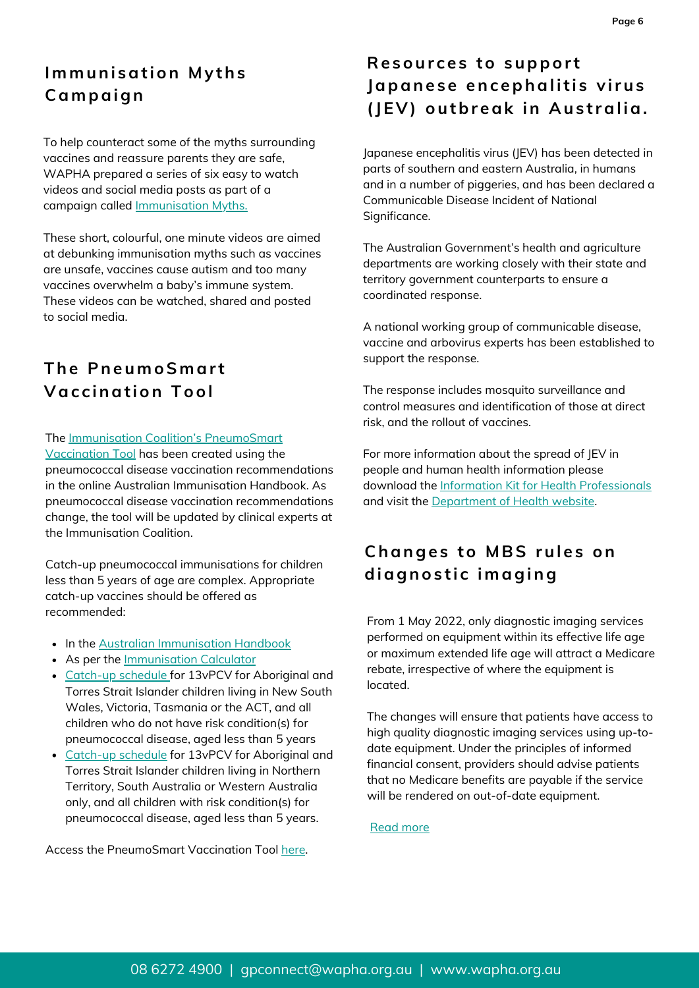# **I m m uni sati on M y ths Ca m paign**

To help counteract some of the myths surrounding vaccines and reassure parents they are safe, WAPHA prepared a series of six easy to watch videos and social media posts as part of a campaign called **[Immunisation](https://www.wapha.org.au/health-professionals/general-practice-support/immunisation-myths/) Myths.** 

These short, colourful, one minute videos are aimed at debunking immunisation myths such as vaccines are unsafe, vaccines cause autism and too many vaccines overwhelm a baby's immune system. These videos can be watched, shared and posted to social media.

### **The Pne u m oS m art V ac c inati on To o l**

#### The Immunisation Coalition's [PneumoSmart](https://www.immunisationcoalition.org.au/pvt/#:~:text=The%20PneumoSmart%20Vaccination%20Tool%20(herein,providers%20to%20comply%20with%20them.)

Vaccination Tool has been created using the pneumococcal disease vaccination recommendations in the online Australian Immunisation Handbook. As pneumococcal disease vaccination recommendations change, the tool will be updated by clinical experts at the Immunisation Coalition.

Catch-up pneumococcal immunisations for children less than 5 years of age are complex. Appropriate catch-up vaccines should be offered as recommended:

- In the Australian [Immunisation](https://www.health.gov.au/health-topics/immunisation/health-professionals) Handbook
- As per the **[Immunisation](https://immunisationhandbook.health.gov.au/catch-up-calculator/calculator) Calculator**
- [Catch-up](https://immunisationhandbook.health.gov.au/resources/handbook-tables/table-catch-up-schedule-for-13vpcv-for-aboriginal-and-torres-strait-0) schedule for 13vPCV for [Aboriginal](https://immunisationhandbook.health.gov.au/resources/handbook-tables/table-catch-up-schedule-for-13vpcv-for-aboriginal-and-torres-strait-0) and Torres Strait Islander children living in New South Wales, Victoria, Tasmania or the ACT, and all children who do not have risk condition(s) for pneumococcal disease, aged less than 5 years
- [Catch-up](https://immunisationhandbook.health.gov.au/resources/handbook-tables/table-catch-up-schedule-for-13vpcv-for-aboriginal-and-torres-strait) schedul[e](https://immunisationhandbook.health.gov.au/resources/handbook-tables/table-catch-up-schedule-for-13vpcv-for-aboriginal-and-torres-strait) for 13vPCV for [Aboriginal](https://immunisationhandbook.health.gov.au/resources/handbook-tables/table-catch-up-schedule-for-13vpcv-for-aboriginal-and-torres-strait) and Torres Strait Islander children living in Northern Territory, South Australia or Western Australia only, and all children with risk condition(s) for pneumococcal disease, aged less than 5 years.

Access the PneumoSmart Vaccination Tool [here](https://www.immunisationcoalition.org.au/pvt/).

#### **R e s o u r c e s t o s uppo rt Japane s e enc ephal iti s v ir u s (J E V ) o u tbr eak in Au s tral ia.**

Japanese encephalitis virus (JEV) has been detected in parts of southern and eastern Australia, in humans and in a number of piggeries, and has been declared a Communicable Disease Incident of National Significance.

The Australian Government's health and agriculture departments are working closely with their state and territory government counterparts to ensure a coordinated response.

A national working group of communicable disease, vaccine and arbovirus experts has been established to support the response.

The response includes mosquito surveillance and control measures and identification of those at direct risk, and the rollout of vaccines.

For more information about the spread of JEV in people and human health information please download the Information Kit for Health [Professionals](https://mcusercontent.com/c973db7b85e56f4c3d0eaacee/files/00301755-8aeb-9f2f-dfec-0645da4dd3bd/Health_Professionals_JEV_kit_April_2022.pdf) and visit the [Department](https://linkprotect.cudasvc.com/url?a=https%3a%2f%2fwww.health.gov.au%2fhealth-alerts%2fjapanese-encephalitis-virus-jev%2fabout&c=E,1,g28sirlrQCj1-zk-GiDWN6SlktGpAQpOkHiFK3qAAxzfcf0gT-leQda3rLrO4AMQlU8JurVot7nEq8bT8aIluV1KxdMNgIs7_C4T-86yzkEuew,,&typo=1) of Health website.

## **Change s t o M BS r u l e s on diagno s ti c i m aging**

From 1 May 2022, only diagnostic imaging services performed on equipment within its effective life age or maximum extended life age will attract a Medicare rebate, irrespective of where the equipment is located.

The changes will ensure that patients have access to high quality diagnostic imaging services using up-todate equipment. Under the principles of informed financial consent, providers should advise patients that no Medicare benefits are payable if the service will be rendered on out-of-date equipment.

[Read](https://linkprotect.cudasvc.com/url?a=https%3a%2f%2fnqphn.us11.list-manage.com%2ftrack%2fclick%3fu%3d6a12818cd8882a96924118339%26id%3d56d0625a83%26e%3d5f7a9d2284&c=E,1,hYCcs0xKza_-eTkbPJSXRJSEkmj80EyEEMAXxCshZxo_Gsx1XJurWewQZhAmAg9trPHVmuCm12GjkaatSbpGk-MpAPkb98pgQi3wLHKjRDesXuVKB5NL2WOlYtA,&typo=1) more